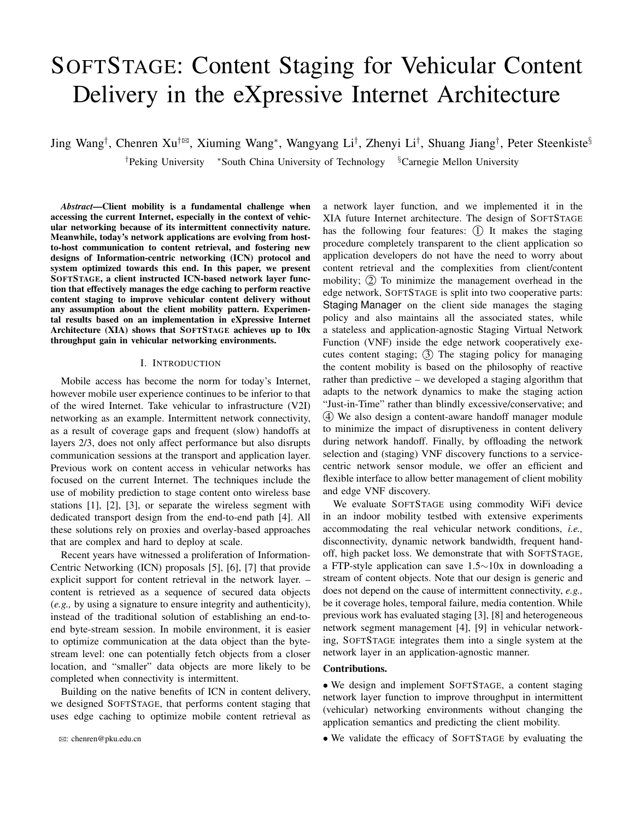# SOFTSTAGE: Content Staging for Vehicular Content Delivery in the eXpressive Internet Architecture

Jing Wang<sup>†</sup>, Chenren Xu<sup>†⊠</sup>, Xiuming Wang<sup>∗</sup>, Wangyang Li<sup>†</sup>, Zhenyi Li<sup>†</sup>, Shuang Jiang<sup>†</sup>, Peter Steenkiste<sup>§</sup> †Peking University <sup>∗</sup>South China University of Technology §Carnegie Mellon University

*Abstract*—Client mobility is a fundamental challenge when accessing the current Internet, especially in the context of vehicular networking because of its intermittent connectivity nature. Meanwhile, today's network applications are evolving from hostto-host communication to content retrieval, and fostering new designs of Information-centric networking (ICN) protocol and system optimized towards this end. In this paper, we present SOFTSTAGE, a client instructed ICN-based network layer function that effectively manages the edge caching to perform reactive content staging to improve vehicular content delivery without any assumption about the client mobility pattern. Experimental results based on an implementation in eXpressive Internet Architecture (XIA) shows that SOFTSTAGE achieves up to 10x throughput gain in vehicular networking environments.

## I. INTRODUCTION

Mobile access has become the norm for today's Internet, however mobile user experience continues to be inferior to that of the wired Internet. Take vehicular to infrastructure (V2I) networking as an example. Intermittent network connectivity, as a result of coverage gaps and frequent (slow) handoffs at layers 2/3, does not only affect performance but also disrupts communication sessions at the transport and application layer. Previous work on content access in vehicular networks has focused on the current Internet. The techniques include the use of mobility prediction to stage content onto wireless base stations [1], [2], [3], or separate the wireless segment with dedicated transport design from the end-to-end path [4]. All these solutions rely on proxies and overlay-based approaches that are complex and hard to deploy at scale.

Recent years have witnessed a proliferation of Information-Centric Networking (ICN) proposals [5], [6], [7] that provide explicit support for content retrieval in the network layer. – content is retrieved as a sequence of secured data objects (*e.g.,* by using a signature to ensure integrity and authenticity), instead of the traditional solution of establishing an end-toend byte-stream session. In mobile environment, it is easier to optimize communication at the data object than the bytestream level: one can potentially fetch objects from a closer location, and "smaller" data objects are more likely to be completed when connectivity is intermittent.

Building on the native benefits of ICN in content delivery, we designed SOFTSTAGE, that performs content staging that uses edge caching to optimize mobile content retrieval as

a network layer function, and we implemented it in the XIA future Internet architecture. The design of SOFTSTAGE has the following four features:  $(1)$  It makes the staging procedure completely transparent to the client application so application developers do not have the need to worry about content retrieval and the complexities from client/content mobility;  $(2)$  To minimize the management overhead in the edge network, SOFTSTAGE is split into two cooperative parts: Staging Manager on the client side manages the staging policy and also maintains all the associated states, while a stateless and application-agnostic Staging Virtual Network Function (VNF) inside the edge network cooperatively executes content staging;  $(3)$  The staging policy for managing the content mobility is based on the philosophy of reactive rather than predictive – we developed a staging algorithm that adapts to the network dynamics to make the staging action "Just-in-Time" rather than blindly excessive/conservative; and 4 We also design a content-aware handoff manager module to minimize the impact of disruptiveness in content delivery during network handoff. Finally, by offloading the network selection and (staging) VNF discovery functions to a servicecentric network sensor module, we offer an efficient and flexible interface to allow better management of client mobility and edge VNF discovery.

We evaluate SOFTSTAGE using commodity WiFi device in an indoor mobility testbed with extensive experiments accommodating the real vehicular network conditions, *i.e.,* disconnectivity, dynamic network bandwidth, frequent handoff, high packet loss. We demonstrate that with SOFTSTAGE, a FTP-style application can save 1.5∼10x in downloading a stream of content objects. Note that our design is generic and does not depend on the cause of intermittent connectivity, *e.g.,* be it coverage holes, temporal failure, media contention. While previous work has evaluated staging [3], [8] and heterogeneous network segment management [4], [9] in vehicular networking, SOFTSTAGE integrates them into a single system at the network layer in an application-agnostic manner.

#### Contributions.

• We design and implement SOFTSTAGE, a content staging network layer function to improve throughput in intermittent (vehicular) networking environments without changing the application semantics and predicting the client mobility.

• We validate the efficacy of SOFTSTAGE by evaluating the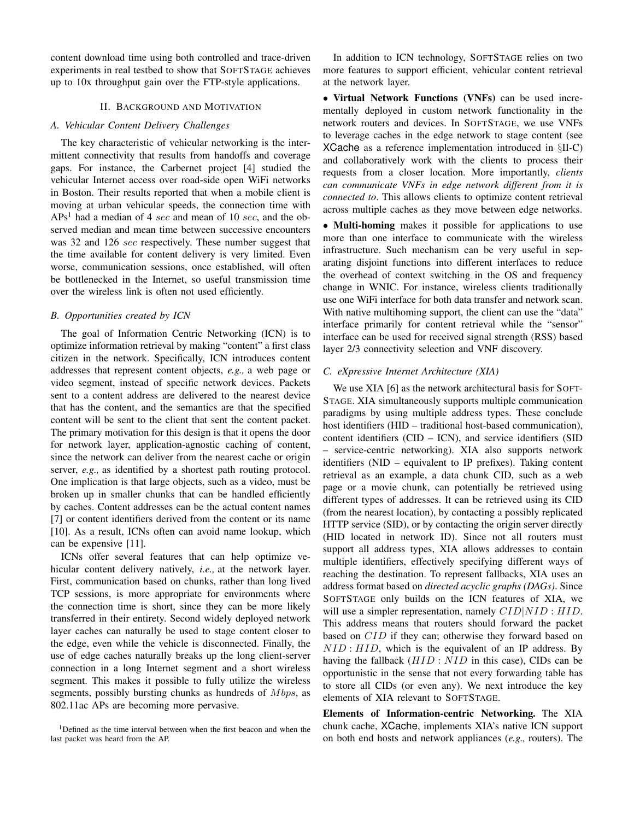content download time using both controlled and trace-driven experiments in real testbed to show that SOFTSTAGE achieves up to 10x throughput gain over the FTP-style applications.

#### II. BACKGROUND AND MOTIVATION

## *A. Vehicular Content Delivery Challenges*

The key characteristic of vehicular networking is the intermittent connectivity that results from handoffs and coverage gaps. For instance, the Carbernet project [4] studied the vehicular Internet access over road-side open WiFi networks in Boston. Their results reported that when a mobile client is moving at urban vehicular speeds, the connection time with  $APs<sup>1</sup>$  had a median of 4 sec and mean of 10 sec, and the observed median and mean time between successive encounters was 32 and 126 sec respectively. These number suggest that the time available for content delivery is very limited. Even worse, communication sessions, once established, will often be bottlenecked in the Internet, so useful transmission time over the wireless link is often not used efficiently.

#### *B. Opportunities created by ICN*

The goal of Information Centric Networking (ICN) is to optimize information retrieval by making "content" a first class citizen in the network. Specifically, ICN introduces content addresses that represent content objects, *e.g.,* a web page or video segment, instead of specific network devices. Packets sent to a content address are delivered to the nearest device that has the content, and the semantics are that the specified content will be sent to the client that sent the content packet. The primary motivation for this design is that it opens the door for network layer, application-agnostic caching of content, since the network can deliver from the nearest cache or origin server, *e.g.,* as identified by a shortest path routing protocol. One implication is that large objects, such as a video, must be broken up in smaller chunks that can be handled efficiently by caches. Content addresses can be the actual content names [7] or content identifiers derived from the content or its name [10]. As a result, ICNs often can avoid name lookup, which can be expensive [11].

ICNs offer several features that can help optimize vehicular content delivery natively, *i.e.,* at the network layer. First, communication based on chunks, rather than long lived TCP sessions, is more appropriate for environments where the connection time is short, since they can be more likely transferred in their entirety. Second widely deployed network layer caches can naturally be used to stage content closer to the edge, even while the vehicle is disconnected. Finally, the use of edge caches naturally breaks up the long client-server connection in a long Internet segment and a short wireless segment. This makes it possible to fully utilize the wireless segments, possibly bursting chunks as hundreds of Mbps, as 802.11ac APs are becoming more pervasive.

In addition to ICN technology, SOFTSTAGE relies on two more features to support efficient, vehicular content retrieval at the network layer.

• Virtual Network Functions (VNFs) can be used incrementally deployed in custom network functionality in the network routers and devices. In SOFTSTAGE, we use VNFs to leverage caches in the edge network to stage content (see XCache as a reference implementation introduced in §II-C) and collaboratively work with the clients to process their requests from a closer location. More importantly, *clients can communicate VNFs in edge network different from it is connected to*. This allows clients to optimize content retrieval across multiple caches as they move between edge networks.

• Multi-homing makes it possible for applications to use more than one interface to communicate with the wireless infrastructure. Such mechanism can be very useful in separating disjoint functions into different interfaces to reduce the overhead of context switching in the OS and frequency change in WNIC. For instance, wireless clients traditionally use one WiFi interface for both data transfer and network scan. With native multihoming support, the client can use the "data" interface primarily for content retrieval while the "sensor" interface can be used for received signal strength (RSS) based layer 2/3 connectivity selection and VNF discovery.

#### *C. eXpressive Internet Architecture (XIA)*

We use XIA [6] as the network architectural basis for SOFT-STAGE. XIA simultaneously supports multiple communication paradigms by using multiple address types. These conclude host identifiers (HID – traditional host-based communication), content identifiers (CID – ICN), and service identifiers (SID – service-centric networking). XIA also supports network identifiers (NID – equivalent to IP prefixes). Taking content retrieval as an example, a data chunk CID, such as a web page or a movie chunk, can potentially be retrieved using different types of addresses. It can be retrieved using its CID (from the nearest location), by contacting a possibly replicated HTTP service (SID), or by contacting the origin server directly (HID located in network ID). Since not all routers must support all address types, XIA allows addresses to contain multiple identifiers, effectively specifying different ways of reaching the destination. To represent fallbacks, XIA uses an address format based on *directed acyclic graphs (DAGs)*. Since SOFTSTAGE only builds on the ICN features of XIA, we will use a simpler representation, namely  $CID|NID : HID$ . This address means that routers should forward the packet based on CID if they can; otherwise they forward based on  $NID : HID$ , which is the equivalent of an IP address. By having the fallback  $(HID : NID)$  in this case), CIDs can be opportunistic in the sense that not every forwarding table has to store all CIDs (or even any). We next introduce the key elements of XIA relevant to SOFTSTAGE.

Elements of Information-centric Networking. The XIA chunk cache, XCache, implements XIA's native ICN support on both end hosts and network appliances (*e.g.,* routers). The

<sup>&</sup>lt;sup>1</sup>Defined as the time interval between when the first beacon and when the last packet was heard from the AP.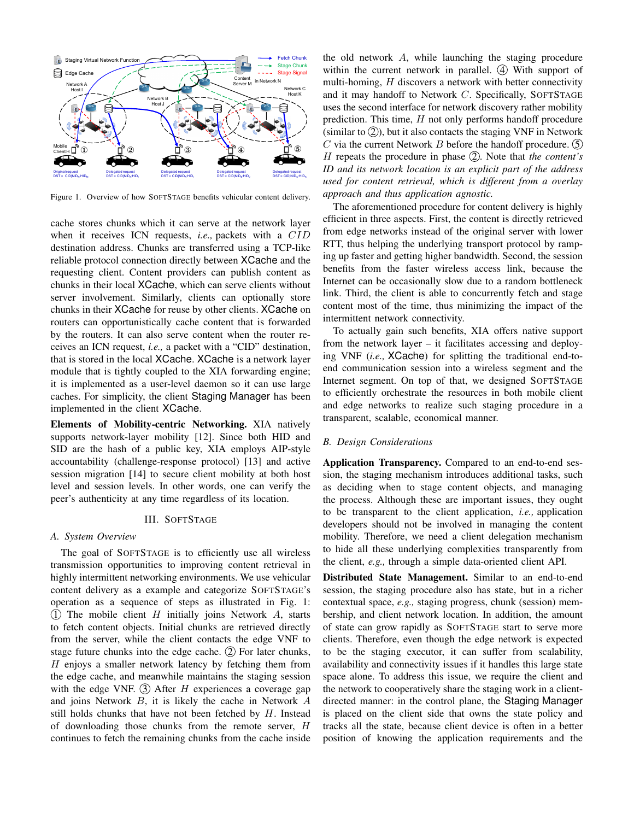

Figure 1. Overview of how SOFTSTAGE benefits vehicular content delivery.

cache stores chunks which it can serve at the network layer when it receives ICN requests, *i.e.,* packets with a CID destination address. Chunks are transferred using a TCP-like reliable protocol connection directly between XCache and the requesting client. Content providers can publish content as chunks in their local XCache, which can serve clients without server involvement. Similarly, clients can optionally store chunks in their XCache for reuse by other clients. XCache on routers can opportunistically cache content that is forwarded by the routers. It can also serve content when the router receives an ICN request, *i.e.,* a packet with a "CID" destination, that is stored in the local XCache. XCache is a network layer module that is tightly coupled to the XIA forwarding engine; it is implemented as a user-level daemon so it can use large caches. For simplicity, the client Staging Manager has been implemented in the client XCache.

Elements of Mobility-centric Networking. XIA natively supports network-layer mobility [12]. Since both HID and SID are the hash of a public key, XIA employs AIP-style accountability (challenge-response protocol) [13] and active session migration [14] to secure client mobility at both host level and session levels. In other words, one can verify the peer's authenticity at any time regardless of its location.

#### III. SOFTSTAGE

## *A. System Overview*

The goal of SOFTSTAGE is to efficiently use all wireless transmission opportunities to improving content retrieval in highly intermittent networking environments. We use vehicular content delivery as a example and categorize SOFTSTAGE's operation as a sequence of steps as illustrated in Fig. 1:  $1$  The mobile client H initially joins Network A, starts to fetch content objects. Initial chunks are retrieved directly from the server, while the client contacts the edge VNF to stage future chunks into the edge cache.  $(2)$  For later chunks,  $H$  enjoys a smaller network latency by fetching them from the edge cache, and meanwhile maintains the staging session with the edge VNF.  $(3)$  After H experiences a coverage gap and joins Network  $B$ , it is likely the cache in Network  $A$ still holds chunks that have not been fetched by  $H$ . Instead of downloading those chunks from the remote server, H continues to fetch the remaining chunks from the cache inside the old network A, while launching the staging procedure within the current network in parallel.  $(4)$  With support of multi-homing,  $H$  discovers a network with better connectivity and it may handoff to Network  $C$ . Specifically, SOFTSTAGE uses the second interface for network discovery rather mobility prediction. This time,  $H$  not only performs handoff procedure (similar to  $(2)$ ), but it also contacts the staging VNF in Network C via the current Network B before the handoff procedure.  $(5)$ H repeats the procedure in phase 2. Note that *the content's ID and its network location is an explicit part of the address used for content retrieval, which is different from a overlay approach and thus application agnostic.*

The aforementioned procedure for content delivery is highly efficient in three aspects. First, the content is directly retrieved from edge networks instead of the original server with lower RTT, thus helping the underlying transport protocol by ramping up faster and getting higher bandwidth. Second, the session benefits from the faster wireless access link, because the Internet can be occasionally slow due to a random bottleneck link. Third, the client is able to concurrently fetch and stage content most of the time, thus minimizing the impact of the intermittent network connectivity.

To actually gain such benefits, XIA offers native support from the network layer – it facilitates accessing and deploying VNF (*i.e.,* XCache) for splitting the traditional end-toend communication session into a wireless segment and the Internet segment. On top of that, we designed SOFTSTAGE to efficiently orchestrate the resources in both mobile client and edge networks to realize such staging procedure in a transparent, scalable, economical manner.

#### *B. Design Considerations*

Application Transparency. Compared to an end-to-end session, the staging mechanism introduces additional tasks, such as deciding when to stage content objects, and managing the process. Although these are important issues, they ought to be transparent to the client application, *i.e.,* application developers should not be involved in managing the content mobility. Therefore, we need a client delegation mechanism to hide all these underlying complexities transparently from the client, *e.g.,* through a simple data-oriented client API.

Distributed State Management. Similar to an end-to-end session, the staging procedure also has state, but in a richer contextual space, *e.g.,* staging progress, chunk (session) membership, and client network location. In addition, the amount of state can grow rapidly as SOFTSTAGE start to serve more clients. Therefore, even though the edge network is expected to be the staging executor, it can suffer from scalability, availability and connectivity issues if it handles this large state space alone. To address this issue, we require the client and the network to cooperatively share the staging work in a clientdirected manner: in the control plane, the Staging Manager is placed on the client side that owns the state policy and tracks all the state, because client device is often in a better position of knowing the application requirements and the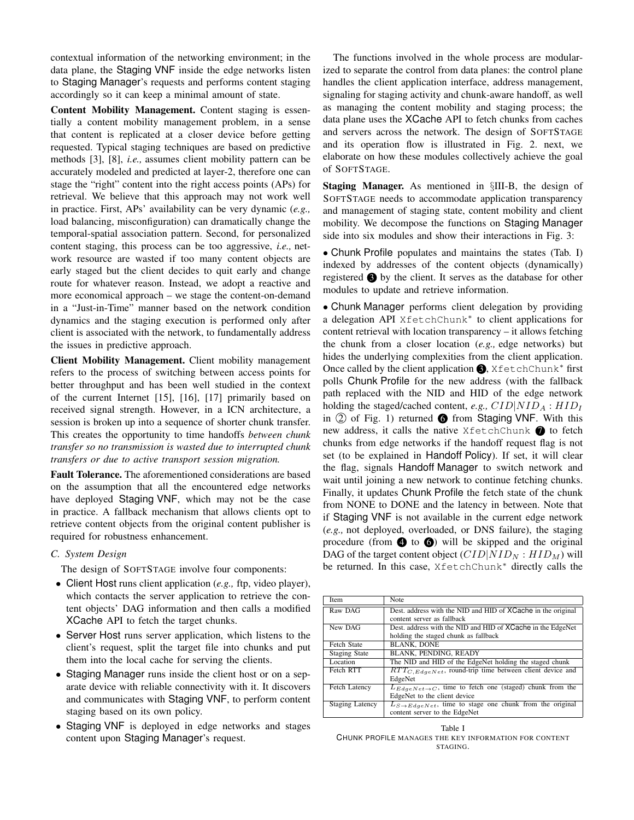contextual information of the networking environment; in the data plane, the Staging VNF inside the edge networks listen to Staging Manager's requests and performs content staging accordingly so it can keep a minimal amount of state.

Content Mobility Management. Content staging is essentially a content mobility management problem, in a sense that content is replicated at a closer device before getting requested. Typical staging techniques are based on predictive methods [3], [8], *i.e.,* assumes client mobility pattern can be accurately modeled and predicted at layer-2, therefore one can stage the "right" content into the right access points (APs) for retrieval. We believe that this approach may not work well in practice. First, APs' availability can be very dynamic (*e.g.,* load balancing, misconfiguration) can dramatically change the temporal-spatial association pattern. Second, for personalized content staging, this process can be too aggressive, *i.e.,* network resource are wasted if too many content objects are early staged but the client decides to quit early and change route for whatever reason. Instead, we adopt a reactive and more economical approach – we stage the content-on-demand in a "Just-in-Time" manner based on the network condition dynamics and the staging execution is performed only after client is associated with the network, to fundamentally address the issues in predictive approach.

Client Mobility Management. Client mobility management refers to the process of switching between access points for better throughput and has been well studied in the context of the current Internet [15], [16], [17] primarily based on received signal strength. However, in a ICN architecture, a session is broken up into a sequence of shorter chunk transfer. This creates the opportunity to time handoffs *between chunk transfer so no transmission is wasted due to interrupted chunk transfers or due to active transport session migration.*

Fault Tolerance. The aforementioned considerations are based on the assumption that all the encountered edge networks have deployed Staging VNF, which may not be the case in practice. A fallback mechanism that allows clients opt to retrieve content objects from the original content publisher is required for robustness enhancement.

## *C. System Design*

The design of SOFTSTAGE involve four components:

- Client Host runs client application (*e.g.,* ftp, video player), which contacts the server application to retrieve the content objects' DAG information and then calls a modified XCache API to fetch the target chunks.
- Server Host runs server application, which listens to the client's request, split the target file into chunks and put them into the local cache for serving the clients.
- Staging Manager runs inside the client host or on a separate device with reliable connectivity with it. It discovers and communicates with Staging VNF, to perform content staging based on its own policy.
- Staging VNF is deployed in edge networks and stages content upon Staging Manager's request.

The functions involved in the whole process are modularized to separate the control from data planes: the control plane handles the client application interface, address management, signaling for staging activity and chunk-aware handoff, as well as managing the content mobility and staging process; the data plane uses the XCache API to fetch chunks from caches and servers across the network. The design of SOFTSTAGE and its operation flow is illustrated in Fig. 2. next, we elaborate on how these modules collectively achieve the goal of SOFTSTAGE.

Staging Manager. As mentioned in §III-B, the design of SOFTSTAGE needs to accommodate application transparency and management of staging state, content mobility and client mobility. We decompose the functions on Staging Manager side into six modules and show their interactions in Fig. 3:

• Chunk Profile populates and maintains the states (Tab. I) indexed by addresses of the content objects (dynamically) registered  $\bigcirc$  by the client. It serves as the database for other modules to update and retrieve information.

• Chunk Manager performs client delegation by providing a delegation API XfetchChunk<sup>∗</sup> to client applications for content retrieval with location transparency – it allows fetching the chunk from a closer location (*e.g.,* edge networks) but hides the underlying complexities from the client application. Once called by the client application **③**, XfetchChunk<sup>∗</sup> first polls Chunk Profile for the new address (with the fallback path replaced with the NID and HID of the edge network holding the staged/cached content, *e.g.,*  $CID|NID_A : HID_I$ in  $(2)$  of Fig. 1) returned  $\bigcirc$  from Staging VNF. With this new address, it calls the native  $Xf$ etchChunk  $\bigcirc$  to fetch chunks from edge networks if the handoff request flag is not set (to be explained in Handoff Policy). If set, it will clear the flag, signals Handoff Manager to switch network and wait until joining a new network to continue fetching chunks. Finally, it updates Chunk Profile the fetch state of the chunk from NONE to DONE and the latency in between. Note that if Staging VNF is not available in the current edge network (*e.g.,* not deployed, overloaded, or DNS failure), the staging procedure (from  $\bigcirc$  to  $\bigcirc$ ) will be skipped and the original DAG of the target content object  $(CID|NID_N : HID_M)$  will be returned. In this case, XfetchChunk<sup>∗</sup> directly calls the

| Item                   | Note                                                                                                        |  |
|------------------------|-------------------------------------------------------------------------------------------------------------|--|
| Raw DAG                | Dest. address with the NID and HID of XCache in the original<br>content server as fallback                  |  |
| New DAG                | Dest. address with the NID and HID of XCache in the EdgeNet<br>holding the staged chunk as fallback         |  |
| Fetch State            | <b>BLANK, DONE</b>                                                                                          |  |
| <b>Staging State</b>   | BLANK, PENDING, READY                                                                                       |  |
| Location               | The NID and HID of the EdgeNet holding the staged chunk                                                     |  |
| Fetch RTT              | $RTT_{C.EdgeNet}$ , round-trip time between client device and<br>EdgeNet                                    |  |
| Fetch Latency          | $L_{E}_{deW}$ $\rightarrow$ $C$ , time to fetch one (staged) chunk from the<br>EdgeNet to the client device |  |
| <b>Staging Latency</b> | $L_{S\rightarrow E d q eNet}$ , time to stage one chunk from the original<br>content server to the EdgeNet  |  |

Table I

CHUNK PROFILE MANAGES THE KEY INFORMATION FOR CONTENT STAGING.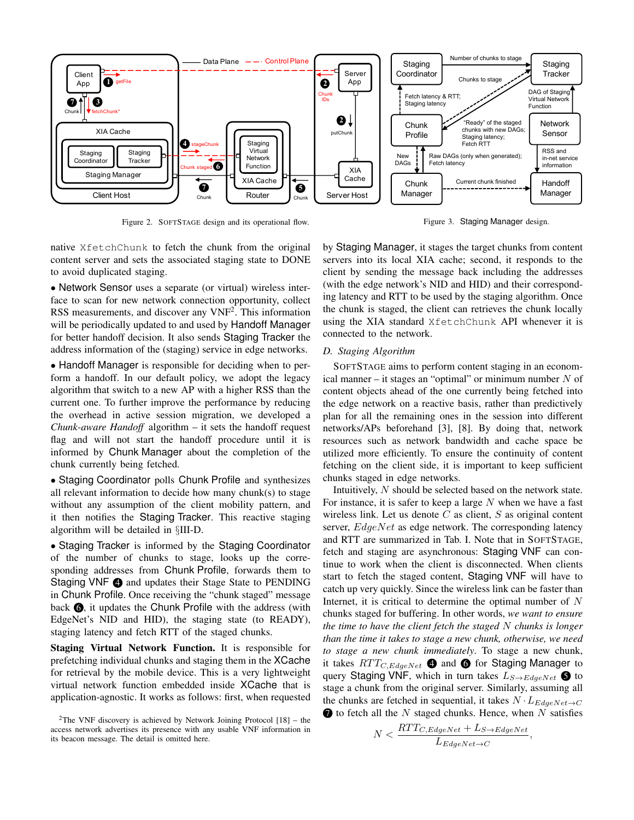

Figure 2. SOFTSTAGE design and its operational flow.

Figure 3. Staging Manager design.

native XfetchChunk to fetch the chunk from the original content server and sets the associated staging state to DONE to avoid duplicated staging.

• Network Sensor uses a separate (or virtual) wireless interface to scan for new network connection opportunity, collect RSS measurements, and discover any  $VNF<sup>2</sup>$ . This information will be periodically updated to and used by Handoff Manager for better handoff decision. It also sends Staging Tracker the address information of the (staging) service in edge networks.

• Handoff Manager is responsible for deciding when to perform a handoff. In our default policy, we adopt the legacy algorithm that switch to a new AP with a higher RSS than the current one. To further improve the performance by reducing the overhead in active session migration, we developed a *Chunk-aware Handoff* algorithm – it sets the handoff request flag and will not start the handoff procedure until it is informed by Chunk Manager about the completion of the chunk currently being fetched.

• Staging Coordinator polls Chunk Profile and synthesizes all relevant information to decide how many chunk(s) to stage without any assumption of the client mobility pattern, and it then notifies the Staging Tracker. This reactive staging algorithm will be detailed in §III-D.

• Staging Tracker is informed by the Staging Coordinator of the number of chunks to stage, looks up the corresponding addresses from Chunk Profile, forwards them to Staging VNF  $\bullet$  and updates their Stage State to PENDING in Chunk Profile. Once receiving the "chunk staged" message back  $\bigcirc$ , it updates the Chunk Profile with the address (with EdgeNet's NID and HID), the staging state (to READY), staging latency and fetch RTT of the staged chunks.

Staging Virtual Network Function. It is responsible for prefetching individual chunks and staging them in the XCache for retrieval by the mobile device. This is a very lightweight virtual network function embedded inside XCache that is application-agnostic. It works as follows: first, when requested

<sup>2</sup>The VNF discovery is achieved by Network Joining Protocol  $[18]$  – the access network advertises its presence with any usable VNF information in its beacon message. The detail is omitted here.

by Staging Manager, it stages the target chunks from content servers into its local XIA cache; second, it responds to the client by sending the message back including the addresses (with the edge network's NID and HID) and their corresponding latency and RTT to be used by the staging algorithm. Once the chunk is staged, the client can retrieves the chunk locally using the XIA standard XfetchChunk API whenever it is connected to the network.

#### *D. Staging Algorithm*

SOFTSTAGE aims to perform content staging in an economical manner – it stages an "optimal" or minimum number  $N$  of content objects ahead of the one currently being fetched into the edge network on a reactive basis, rather than predictively plan for all the remaining ones in the session into different networks/APs beforehand [3], [8]. By doing that, network resources such as network bandwidth and cache space be utilized more efficiently. To ensure the continuity of content fetching on the client side, it is important to keep sufficient chunks staged in edge networks.

Intuitively, N should be selected based on the network state. For instance, it is safer to keep a large  $N$  when we have a fast wireless link. Let us denote  $C$  as client,  $S$  as original content server,  $EdgeNet$  as edge network. The corresponding latency and RTT are summarized in Tab. I. Note that in SOFTSTAGE, fetch and staging are asynchronous: Staging VNF can continue to work when the client is disconnected. When clients start to fetch the staged content, Staging VNF will have to catch up very quickly. Since the wireless link can be faster than Internet, it is critical to determine the optimal number of  $N$ chunks staged for buffering. In other words, *we want to ensure the time to have the client fetch the staged* N *chunks is longer than the time it takes to stage a new chunk, otherwise, we need to stage a new chunk immediately*. To stage a new chunk, it takes  $RTT_{C,EdgeNet}$  **4** and **6** for Staging Manager to query Staging VNF, which in turn takes  $L_{S\rightarrow EdgeNet}$   $\bigcirc$  to stage a chunk from the original server. Similarly, assuming all the chunks are fetched in sequential, it takes  $N \cdot L_{EdgeNet \rightarrow C}$  $\bullet$  to fetch all the N staged chunks. Hence, when N satisfies

$$
N < \frac{RTT_{C,EdgeNet} + L_{S \rightarrow EdgeNet}}{L_{EdgeNet \rightarrow C}},
$$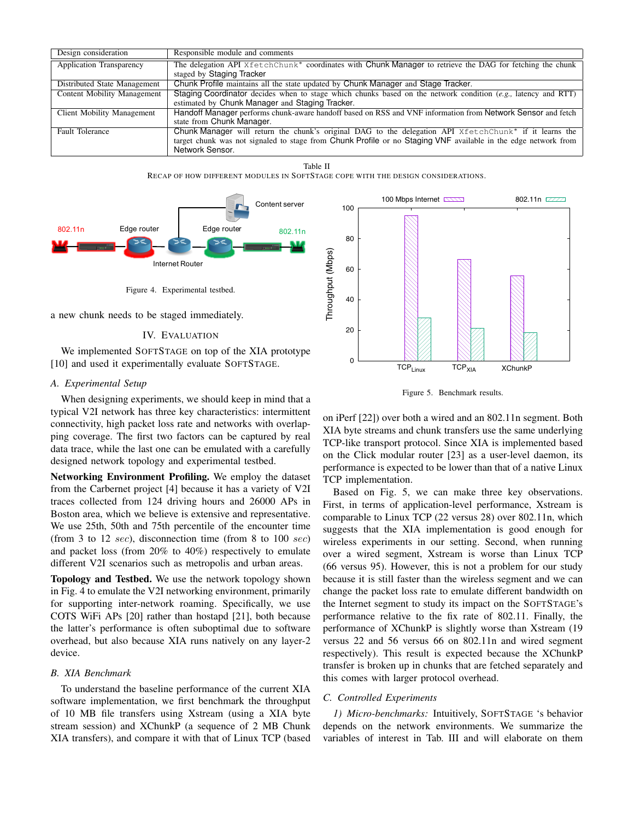| Design consideration               | Responsible module and comments                                                                                       |  |  |
|------------------------------------|-----------------------------------------------------------------------------------------------------------------------|--|--|
| <b>Application Transparency</b>    | The delegation API XfetchChunk <sup>*</sup> coordinates with Chunk Manager to retrieve the DAG for fetching the chunk |  |  |
|                                    | staged by Staging Tracker                                                                                             |  |  |
| Distributed State Management       | Chunk Profile maintains all the state updated by Chunk Manager and Stage Tracker.                                     |  |  |
| <b>Content Mobility Management</b> | Staging Coordinator decides when to stage which chunks based on the network condition (e.g., latency and RTT)         |  |  |
|                                    | estimated by Chunk Manager and Staging Tracker.                                                                       |  |  |
| <b>Client Mobility Management</b>  | Handoff Manager performs chunk-aware handoff based on RSS and VNF information from Network Sensor and fetch           |  |  |
|                                    | state from Chunk Manager.                                                                                             |  |  |
| <b>Fault Tolerance</b>             | Chunk Manager will return the chunk's original DAG to the delegation API XfetchChunk* if it learns the                |  |  |
|                                    | target chunk was not signaled to stage from Chunk Profile or no Staging VNF available in the edge network from        |  |  |
|                                    | Network Sensor.                                                                                                       |  |  |

Table II RECAP OF HOW DIFFERENT MODULES IN SOFTSTAGE COPE WITH THE DESIGN CONSIDERATIONS.



a new chunk needs to be staged immediately.

#### IV. EVALUATION

We implemented SOFTSTAGE on top of the XIA prototype [10] and used it experimentally evaluate SOFTSTAGE.

## *A. Experimental Setup*

When designing experiments, we should keep in mind that a typical V2I network has three key characteristics: intermittent connectivity, high packet loss rate and networks with overlapping coverage. The first two factors can be captured by real data trace, while the last one can be emulated with a carefully designed network topology and experimental testbed.

Networking Environment Profiling. We employ the dataset from the Carbernet project [4] because it has a variety of V2I traces collected from 124 driving hours and 26000 APs in Boston area, which we believe is extensive and representative. We use 25th, 50th and 75th percentile of the encounter time (from 3 to 12 sec), disconnection time (from 8 to 100 sec) and packet loss (from 20% to 40%) respectively to emulate different V2I scenarios such as metropolis and urban areas.

Topology and Testbed. We use the network topology shown in Fig. 4 to emulate the V2I networking environment, primarily for supporting inter-network roaming. Specifically, we use COTS WiFi APs [20] rather than hostapd [21], both because the latter's performance is often suboptimal due to software overhead, but also because XIA runs natively on any layer-2 device.

# *B. XIA Benchmark*

To understand the baseline performance of the current XIA software implementation, we first benchmark the throughput of 10 MB file transfers using Xstream (using a XIA byte stream session) and XChunkP (a sequence of 2 MB Chunk XIA transfers), and compare it with that of Linux TCP (based



Figure 5. Benchmark results.

on iPerf [22]) over both a wired and an 802.11n segment. Both XIA byte streams and chunk transfers use the same underlying TCP-like transport protocol. Since XIA is implemented based on the Click modular router [23] as a user-level daemon, its performance is expected to be lower than that of a native Linux TCP implementation.

Based on Fig. 5, we can make three key observations. First, in terms of application-level performance, Xstream is comparable to Linux TCP (22 versus 28) over 802.11n, which suggests that the XIA implementation is good enough for wireless experiments in our setting. Second, when running over a wired segment, Xstream is worse than Linux TCP (66 versus 95). However, this is not a problem for our study because it is still faster than the wireless segment and we can change the packet loss rate to emulate different bandwidth on the Internet segment to study its impact on the SOFTSTAGE's performance relative to the fix rate of 802.11. Finally, the performance of XChunkP is slightly worse than Xstream (19 versus 22 and 56 versus 66 on 802.11n and wired segment respectively). This result is expected because the XChunkP transfer is broken up in chunks that are fetched separately and this comes with larger protocol overhead.

# *C. Controlled Experiments*

*1) Micro-benchmarks:* Intuitively, SOFTSTAGE 's behavior depends on the network environments. We summarize the variables of interest in Tab. III and will elaborate on them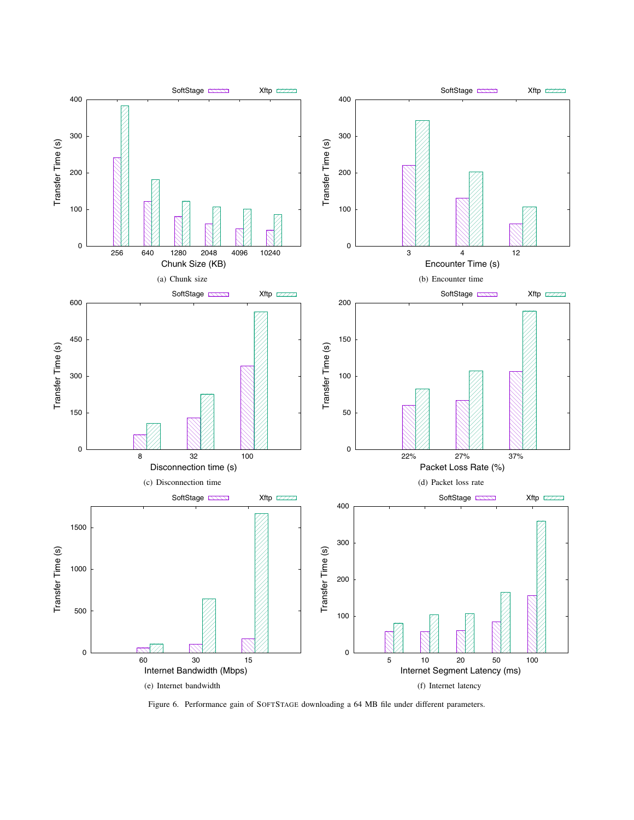

Figure 6. Performance gain of SOFTSTAGE downloading a 64 MB file under different parameters.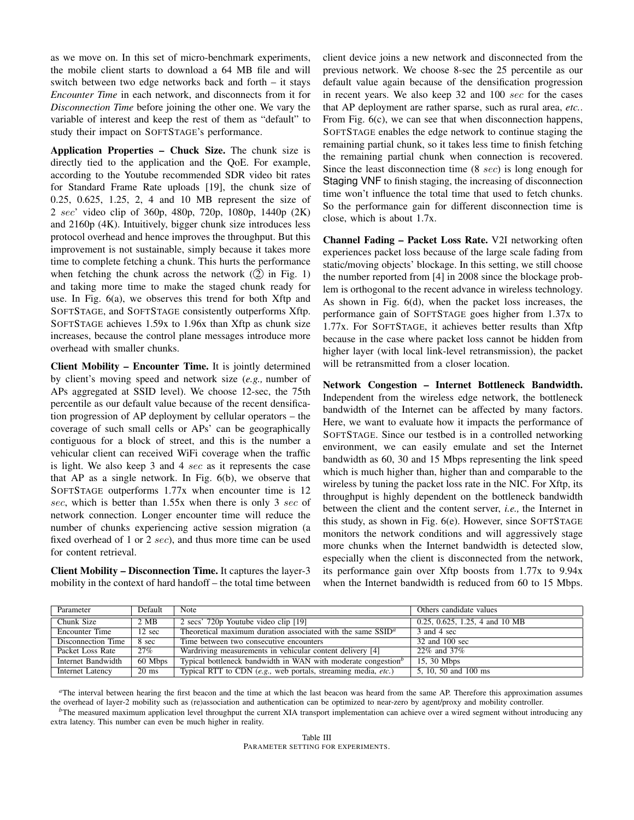as we move on. In this set of micro-benchmark experiments, the mobile client starts to download a 64 MB file and will switch between two edge networks back and forth – it stays *Encounter Time* in each network, and disconnects from it for *Disconnection Time* before joining the other one. We vary the variable of interest and keep the rest of them as "default" to study their impact on SOFTSTAGE's performance.

Application Properties – Chuck Size. The chunk size is directly tied to the application and the QoE. For example, according to the Youtube recommended SDR video bit rates for Standard Frame Rate uploads [19], the chunk size of 0.25, 0.625, 1.25, 2, 4 and 10 MB represent the size of 2 sec' video clip of 360p, 480p, 720p, 1080p, 1440p (2K) and 2160p (4K). Intuitively, bigger chunk size introduces less protocol overhead and hence improves the throughput. But this improvement is not sustainable, simply because it takes more time to complete fetching a chunk. This hurts the performance when fetching the chunk across the network  $(2)$  in Fig. 1) and taking more time to make the staged chunk ready for use. In Fig. 6(a), we observes this trend for both Xftp and SOFTSTAGE, and SOFTSTAGE consistently outperforms Xftp. SOFTSTAGE achieves 1.59x to 1.96x than Xftp as chunk size increases, because the control plane messages introduce more overhead with smaller chunks.

Client Mobility – Encounter Time. It is jointly determined by client's moving speed and network size (*e.g.,* number of APs aggregated at SSID level). We choose 12-sec, the 75th percentile as our default value because of the recent densification progression of AP deployment by cellular operators – the coverage of such small cells or APs' can be geographically contiguous for a block of street, and this is the number a vehicular client can received WiFi coverage when the traffic is light. We also keep 3 and 4 sec as it represents the case that AP as a single network. In Fig. 6(b), we observe that SOFTSTAGE outperforms 1.77x when encounter time is 12 sec, which is better than 1.55x when there is only 3 sec of network connection. Longer encounter time will reduce the number of chunks experiencing active session migration (a fixed overhead of 1 or 2 sec), and thus more time can be used for content retrieval.

Client Mobility – Disconnection Time. It captures the layer-3 mobility in the context of hard handoff – the total time between client device joins a new network and disconnected from the previous network. We choose 8-sec the 25 percentile as our default value again because of the densification progression in recent years. We also keep 32 and 100 sec for the cases that AP deployment are rather sparse, such as rural area, *etc.*. From Fig. 6(c), we can see that when disconnection happens, SOFTSTAGE enables the edge network to continue staging the remaining partial chunk, so it takes less time to finish fetching the remaining partial chunk when connection is recovered. Since the least disconnection time (8 sec) is long enough for Staging VNF to finish staging, the increasing of disconnection time won't influence the total time that used to fetch chunks. So the performance gain for different disconnection time is close, which is about 1.7x.

Channel Fading – Packet Loss Rate. V2I networking often experiences packet loss because of the large scale fading from static/moving objects' blockage. In this setting, we still choose the number reported from [4] in 2008 since the blockage problem is orthogonal to the recent advance in wireless technology. As shown in Fig. 6(d), when the packet loss increases, the performance gain of SOFTSTAGE goes higher from 1.37x to 1.77x. For SOFTSTAGE, it achieves better results than Xftp because in the case where packet loss cannot be hidden from higher layer (with local link-level retransmission), the packet will be retransmitted from a closer location.

Network Congestion – Internet Bottleneck Bandwidth. Independent from the wireless edge network, the bottleneck bandwidth of the Internet can be affected by many factors. Here, we want to evaluate how it impacts the performance of SOFTSTAGE. Since our testbed is in a controlled networking environment, we can easily emulate and set the Internet bandwidth as 60, 30 and 15 Mbps representing the link speed which is much higher than, higher than and comparable to the wireless by tuning the packet loss rate in the NIC. For Xftp, its throughput is highly dependent on the bottleneck bandwidth between the client and the content server, *i.e.,* the Internet in this study, as shown in Fig. 6(e). However, since SOFTSTAGE monitors the network conditions and will aggressively stage more chunks when the Internet bandwidth is detected slow, especially when the client is disconnected from the network, its performance gain over Xftp boosts from 1.77x to 9.94x when the Internet bandwidth is reduced from 60 to 15 Mbps.

| Parameter             | Default          | Note                                                                      | Others candidate values        |
|-----------------------|------------------|---------------------------------------------------------------------------|--------------------------------|
| Chunk Size            | 2 MB             | 2 secs' 720p Youtube video clip [19]                                      | 0.25, 0.625, 1.25, 4 and 10 MB |
| <b>Encounter Time</b> | $12 \text{ sec}$ | Theoretical maximum duration associated with the same $SSIDa$             | 3 and 4 sec                    |
| Disconnection Time    | 8 sec            | Time between two consecutive encounters                                   | 32 and 100 sec                 |
| Packet Loss Rate      | 27%              | Wardriving measurements in vehicular content delivery [4]                 | 22\% and 37\%                  |
| Internet Bandwidth    | 60 Mbps          | Typical bottleneck bandwidth in WAN with moderate congestion <sup>b</sup> | 15, 30 Mbps                    |
| Internet Latency      | $20 \text{ ms}$  | Typical RTT to CDN (e.g., web portals, streaming media, etc.)             | 5, 10, 50 and 100 ms           |

*<sup>a</sup>*The interval between hearing the first beacon and the time at which the last beacon was heard from the same AP. Therefore this approximation assumes the overhead of layer-2 mobility such as (re)association and authentication can be optimized to near-zero by agent/proxy and mobility controller.

*<sup>b</sup>*The measured maximum application level throughput the current XIA transport implementation can achieve over a wired segment without introducing any extra latency. This number can even be much higher in reality.

> Table III PARAMETER SETTING FOR EXPERIMENTS.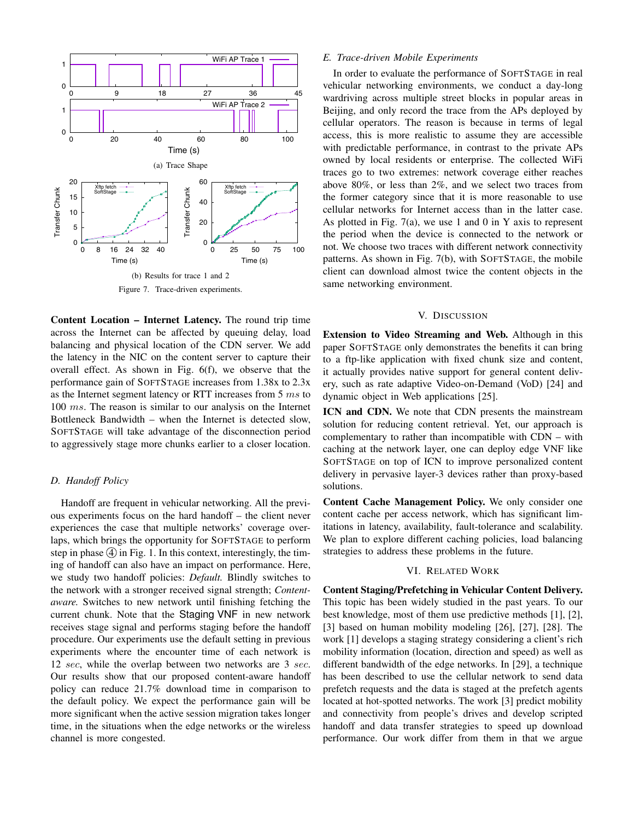

Figure 7. Trace-driven experiments.

Content Location – Internet Latency. The round trip time across the Internet can be affected by queuing delay, load balancing and physical location of the CDN server. We add the latency in the NIC on the content server to capture their overall effect. As shown in Fig. 6(f), we observe that the performance gain of SOFTSTAGE increases from 1.38x to 2.3x as the Internet segment latency or RTT increases from 5 ms to 100 ms. The reason is similar to our analysis on the Internet Bottleneck Bandwidth – when the Internet is detected slow, SOFTSTAGE will take advantage of the disconnection period to aggressively stage more chunks earlier to a closer location.

#### *D. Handoff Policy*

Handoff are frequent in vehicular networking. All the previous experiments focus on the hard handoff – the client never experiences the case that multiple networks' coverage overlaps, which brings the opportunity for SOFTSTAGE to perform step in phase  $(4)$  in Fig. 1. In this context, interestingly, the timing of handoff can also have an impact on performance. Here, we study two handoff policies: *Default.* Blindly switches to the network with a stronger received signal strength; *Contentaware.* Switches to new network until finishing fetching the current chunk. Note that the Staging VNF in new network receives stage signal and performs staging before the handoff procedure. Our experiments use the default setting in previous experiments where the encounter time of each network is 12 sec, while the overlap between two networks are 3 sec. Our results show that our proposed content-aware handoff policy can reduce 21.7% download time in comparison to the default policy. We expect the performance gain will be more significant when the active session migration takes longer time, in the situations when the edge networks or the wireless channel is more congested.

## *E. Trace-driven Mobile Experiments*

In order to evaluate the performance of SOFTSTAGE in real vehicular networking environments, we conduct a day-long wardriving across multiple street blocks in popular areas in Beijing, and only record the trace from the APs deployed by cellular operators. The reason is because in terms of legal access, this is more realistic to assume they are accessible with predictable performance, in contrast to the private APs owned by local residents or enterprise. The collected WiFi traces go to two extremes: network coverage either reaches above 80%, or less than 2%, and we select two traces from the former category since that it is more reasonable to use cellular networks for Internet access than in the latter case. As plotted in Fig.  $7(a)$ , we use 1 and 0 in Y axis to represent the period when the device is connected to the network or not. We choose two traces with different network connectivity patterns. As shown in Fig. 7(b), with SOFTSTAGE, the mobile client can download almost twice the content objects in the same networking environment.

#### V. DISCUSSION

Extension to Video Streaming and Web. Although in this paper SOFTSTAGE only demonstrates the benefits it can bring to a ftp-like application with fixed chunk size and content, it actually provides native support for general content delivery, such as rate adaptive Video-on-Demand (VoD) [24] and dynamic object in Web applications [25].

ICN and CDN. We note that CDN presents the mainstream solution for reducing content retrieval. Yet, our approach is complementary to rather than incompatible with CDN – with caching at the network layer, one can deploy edge VNF like SOFTSTAGE on top of ICN to improve personalized content delivery in pervasive layer-3 devices rather than proxy-based solutions.

Content Cache Management Policy. We only consider one content cache per access network, which has significant limitations in latency, availability, fault-tolerance and scalability. We plan to explore different caching policies, load balancing strategies to address these problems in the future.

#### VI. RELATED WORK

Content Staging/Prefetching in Vehicular Content Delivery. This topic has been widely studied in the past years. To our best knowledge, most of them use predictive methods [1], [2], [3] based on human mobility modeling [26], [27], [28]. The work [1] develops a staging strategy considering a client's rich mobility information (location, direction and speed) as well as different bandwidth of the edge networks. In [29], a technique has been described to use the cellular network to send data prefetch requests and the data is staged at the prefetch agents located at hot-spotted networks. The work [3] predict mobility and connectivity from people's drives and develop scripted handoff and data transfer strategies to speed up download performance. Our work differ from them in that we argue